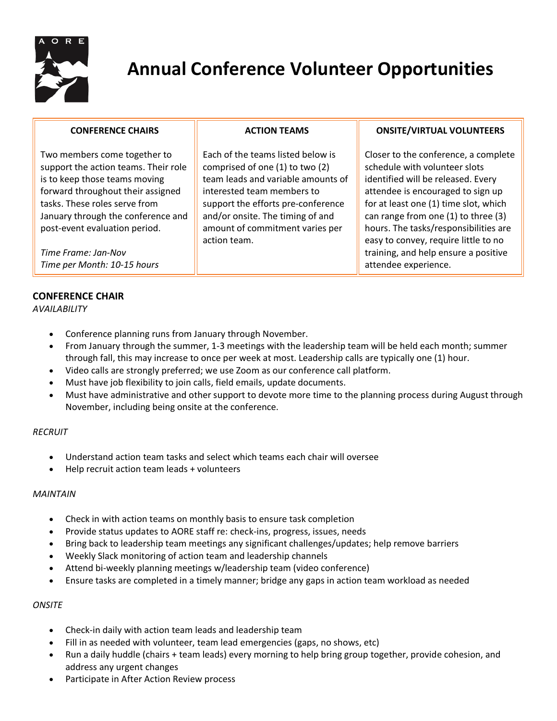

# **Annual Conference Volunteer Opportunities**

**ONSITE/VIRTUAL VOLUNTEERS**

Closer to the conference, a complete

schedule with volunteer slots identified will be released. Every attendee is encouraged to sign up for at least one (1) time slot, which can range from one (1) to three (3) hours. The tasks/responsibilities are easy to convey, require little to no training, and help ensure a positive

attendee experience.

**ACTION TEAMS**

Each of the teams listed below is comprised of one (1) to two (2) team leads and variable amounts of

interested team members to support the efforts pre-conference and/or onsite. The timing of and amount of commitment varies per

# **CONFERENCE CHAIRS**

Two members come together to support the action teams. Their role is to keep those teams moving forward throughout their assigned tasks. These roles serve from January through the conference and post-event evaluation period.

*Time Frame: Jan-Nov Time per Month: 10-15 hours*

# **CONFERENCE CHAIR**

*AVAILABILITY*

- Conference planning runs from January through November.
- From January through the summer, 1-3 meetings with the leadership team will be held each month; summer through fall, this may increase to once per week at most. Leadership calls are typically one (1) hour.
- Video calls are strongly preferred; we use Zoom as our conference call platform.

action team.

- Must have job flexibility to join calls, field emails, update documents.
- Must have administrative and other support to devote more time to the planning process during August through November, including being onsite at the conference.

# *RECRUIT*

- Understand action team tasks and select which teams each chair will oversee
- Help recruit action team leads + volunteers

#### *MAINTAIN*

- Check in with action teams on monthly basis to ensure task completion
- Provide status updates to AORE staff re: check-ins, progress, issues, needs
- Bring back to leadership team meetings any significant challenges/updates; help remove barriers
- Weekly Slack monitoring of action team and leadership channels
- Attend bi-weekly planning meetings w/leadership team (video conference)
- Ensure tasks are completed in a timely manner; bridge any gaps in action team workload as needed

# *ONSITE*

- Check-in daily with action team leads and leadership team
- Fill in as needed with volunteer, team lead emergencies (gaps, no shows, etc)
- Run a daily huddle (chairs + team leads) every morning to help bring group together, provide cohesion, and address any urgent changes
- Participate in After Action Review process